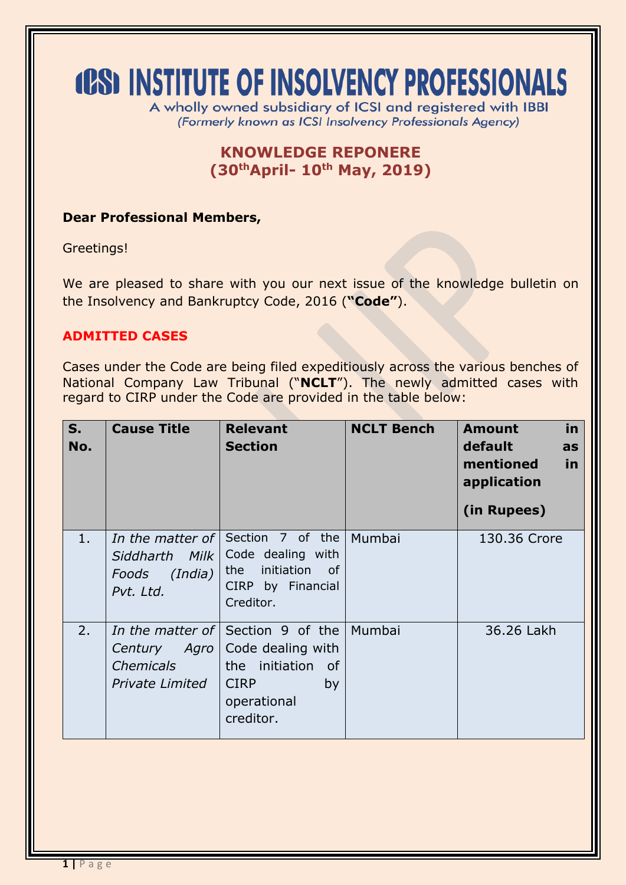# **(CS) INSTITUTE OF INSOLVENCY PROFESSIONALS**

A wholly owned subsidiary of ICSI and registered with IBBI (Formerly known as ICSI Insolvency Professionals Agency)

# **KNOWLEDGE REPONERE (30thApril- 10 th May, 2019)**

#### **Dear Professional Members,**

Greetings!

We are pleased to share with you our next issue of the knowledge bulletin on the Insolvency and Bankruptcy Code, 2016 (**"Code"**).

### **ADMITTED CASES**

Cases under the Code are being filed expeditiously across the various benches of National Company Law Tribunal ("**NCLT**"). The newly admitted cases with regard to CIRP under the Code are provided in the table below:

| $S_{1}$<br>No. | <b>Cause Title</b>                                               | <b>Relevant</b><br><b>Section</b>                                                                                                      | <b>NCLT Bench</b> | in.<br><b>Amount</b><br>default<br>as<br>mentioned<br>in<br>application<br>(in Rupees) |
|----------------|------------------------------------------------------------------|----------------------------------------------------------------------------------------------------------------------------------------|-------------------|----------------------------------------------------------------------------------------|
| 1.             | In the matter of<br>Siddharth Milk<br>Foods (India)<br>Pvt. Ltd. | Section 7 of the<br>Code dealing with<br>initiation<br>the<br>of<br>CIRP by Financial<br>Creditor.                                     | Mumbai            | 130.36 Crore                                                                           |
| 2.             | Century Agro<br><b>Chemicals</b><br><b>Private Limited</b>       | <i>In the matter of</i> Section 9 of the<br>Code dealing with<br>the initiation<br>of<br><b>CIRP</b><br>by<br>operational<br>creditor. | Mumbai            | 36.26 Lakh                                                                             |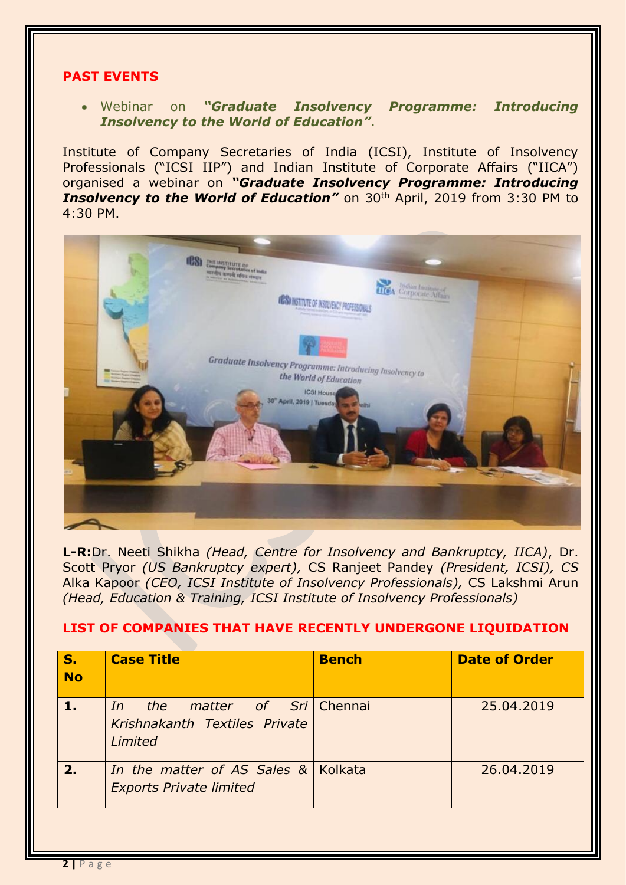#### **PAST EVENTS**

#### Webinar on *"Graduate Insolvency Programme: Introducing Insolvency to the World of Education"*.

Institute of Company Secretaries of India (ICSI), Institute of Insolvency Professionals ("ICSI IIP") and Indian Institute of Corporate Affairs ("IICA") organised a webinar on *"Graduate Insolvency Programme: Introducing*  **Insolvency to the World of Education"** on 30<sup>th</sup> April, 2019 from 3:30 PM to 4:30 PM.



**L-R:**Dr. Neeti Shikha *(Head, Centre for Insolvency and Bankruptcy, IICA)*, Dr. Scott Pryor *(US Bankruptcy expert),* CS Ranjeet Pandey *(President, ICSI), CS*  Alka Kapoor *(CEO, ICSI Institute of Insolvency Professionals),* CS Lakshmi Arun *(Head, Education & Training, ICSI Institute of Insolvency Professionals)*

#### **LIST OF COMPANIES THAT HAVE RECENTLY UNDERGONE LIQUIDATION**

| <b>S.</b><br><b>No</b> | <b>Case Title</b>                                                                  | <b>Bench</b> | <b>Date of Order</b> |
|------------------------|------------------------------------------------------------------------------------|--------------|----------------------|
|                        | <i>the matter of Sri</i> Chennai<br>In<br>Krishnakanth Textiles Private<br>Limited |              | 25,04,2019           |
| 2.                     | In the matter of AS Sales & Kolkata<br><b>Exports Private limited</b>              |              | 26.04.2019           |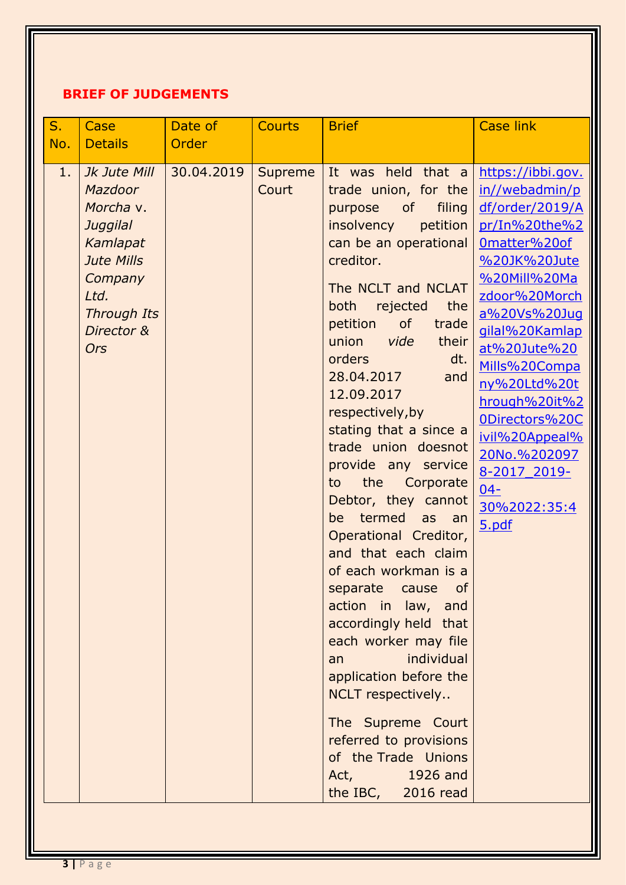# **BRIEF OF JUDGEMENTS**

| S.  | Case                                                                                                                                                   | Date of    | <b>Courts</b>    | <b>Brief</b>                                                                                                                                                                                                                                                                                                                                                                                                                                                                                                                                                                                                                                                                                                                                                                                                                              | <b>Case link</b>                                                                                                                                                                                                                                                                                                                                    |
|-----|--------------------------------------------------------------------------------------------------------------------------------------------------------|------------|------------------|-------------------------------------------------------------------------------------------------------------------------------------------------------------------------------------------------------------------------------------------------------------------------------------------------------------------------------------------------------------------------------------------------------------------------------------------------------------------------------------------------------------------------------------------------------------------------------------------------------------------------------------------------------------------------------------------------------------------------------------------------------------------------------------------------------------------------------------------|-----------------------------------------------------------------------------------------------------------------------------------------------------------------------------------------------------------------------------------------------------------------------------------------------------------------------------------------------------|
| No. | <b>Details</b>                                                                                                                                         | Order      |                  |                                                                                                                                                                                                                                                                                                                                                                                                                                                                                                                                                                                                                                                                                                                                                                                                                                           |                                                                                                                                                                                                                                                                                                                                                     |
| 1.  | Jk Jute Mill<br>Mazdoor<br>Morcha v.<br>Juggilal<br>Kamlapat<br><b>Jute Mills</b><br>Company<br>Ltd.<br><b>Through Its</b><br>Director &<br><b>Ors</b> | 30.04.2019 | Supreme<br>Court | It was held that a<br>trade union, for the<br>of<br>filing<br>purpose<br>insolvency<br>petition<br>can be an operational<br>creditor.<br>The NCLT and NCLAT<br>the<br>both<br>rejected<br>of<br>petition<br>trade<br>union<br>vide<br>their<br>dt.<br>orders<br>28.04.2017<br>and<br>12.09.2017<br>respectively, by<br>stating that a since a<br>trade union doesnot<br>provide any service<br>the<br>to<br>Corporate<br>Debtor, they cannot<br>termed<br>be<br>as an<br>Operational Creditor,<br>and that each claim<br>of each workman is a<br>separate<br>cause<br><b>of</b><br>action in law, and<br>accordingly held that<br>each worker may file<br>individual<br>an<br>application before the<br>NCLT respectively<br>The Supreme Court<br>referred to provisions<br>of the Trade Unions<br>1926 and<br>Act,<br>the IBC, 2016 read | https://ibbi.gov.<br>in//webadmin/p<br>df/order/2019/A<br>pr/In%20the%2<br>Omatter%20of<br>%20JK%20Jute<br>%20Mill%20Ma<br>zdoor%20Morch<br>a%20Vs%20Juq<br>gilal%20Kamlap<br>at%20Jute%20<br>Mills%20Compa<br>ny%20Ltd%20t<br>hrough%20it%2<br>0Directors%20C<br>ivil%20Appeal%<br>20No.%202097<br>8-2017 2019-<br>$04 -$<br>30%2022:35:4<br>5.pdf |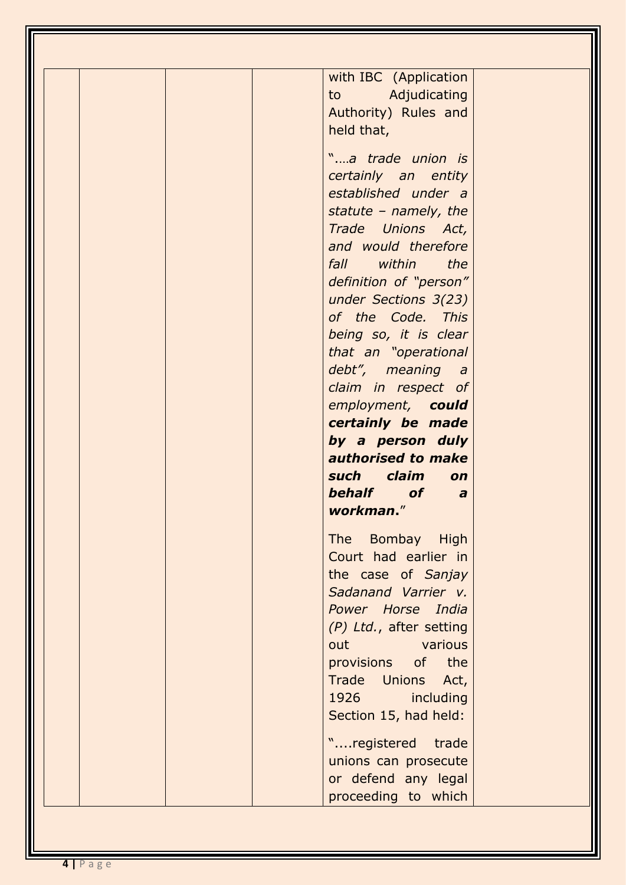| with IBC (Application<br>to Adjudicating<br>Authority) Rules and<br>held that,                                |
|---------------------------------------------------------------------------------------------------------------|
| "a trade union is<br>certainly an entity<br>established under a<br>statute – namely, the<br>Trade Unions Act, |
| and would therefore<br>fall within the<br>definition of "person"<br>under Sections 3(23)<br>of the Code. This |
| being so, it is clear<br>that an "operational<br>debt", meaning a<br>claim in respect of<br>employment, could |
| certainly be made<br>by a person duly<br>authorised to make<br>such claim on<br>behalf of a                   |
| workman."<br>The Bombay High<br>Court had earlier in<br>the case of Sanjay<br>Sadanand Varrier v.             |
| Power Horse India<br>(P) Ltd., after setting<br>out various<br>provisions of the<br>Trade Unions Act,         |
| 1926 1991<br>including                                                                                        |
| Section 15, had held:<br>"registered trade<br>unions can prosecute                                            |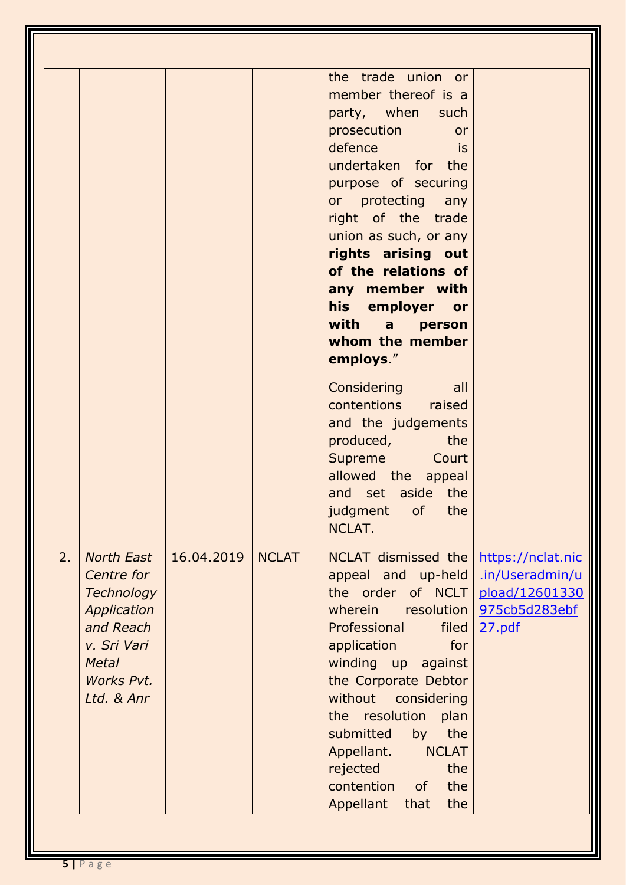|    |                                                                                                                                             |            |              | the trade union or<br>member thereof is a<br>party, when such<br><b>prosecution</b><br>or<br>defence<br><u>is a strong is is a</u><br>undertaken for the<br>purpose of securing<br>or protecting any<br>right of the trade<br>union as such, or any<br>rights arising out<br>of the relations of<br>any member with<br>his employer or<br>with a person<br>whom the member<br>employs."<br><b>Considering</b><br>all<br>contentions raised<br>and the judgements<br>produced, the<br>Supreme Court<br>allowed the appeal<br>and set aside the<br>judgment of the |                                                                                   |
|----|---------------------------------------------------------------------------------------------------------------------------------------------|------------|--------------|------------------------------------------------------------------------------------------------------------------------------------------------------------------------------------------------------------------------------------------------------------------------------------------------------------------------------------------------------------------------------------------------------------------------------------------------------------------------------------------------------------------------------------------------------------------|-----------------------------------------------------------------------------------|
| 2. | <b>North East</b><br>Centre for<br><b>Technology</b><br>Application<br>and Reach<br>v. Sri Vari<br><b>Metal</b><br>Works Pvt.<br>Ltd. & Anr | 16.04.2019 | <b>NCLAT</b> | NCLAT.<br>NCLAT dismissed the<br>appeal and up-held<br>the order of NCLT<br>wherein resolution<br>Professional<br>filed<br>for<br>application<br>winding up<br>against<br>the Corporate Debtor<br>without considering<br>the resolution<br>plan<br>submitted<br>the<br>by<br><b>NCLAT</b><br>Appellant.<br>the<br>rejected<br>the<br>contention<br><b>of</b><br>Appellant<br>that<br>the                                                                                                                                                                         | https://nclat.nic<br>.in/Useradmin/u<br>pload/12601330<br>975cb5d283ebf<br>27.pdf |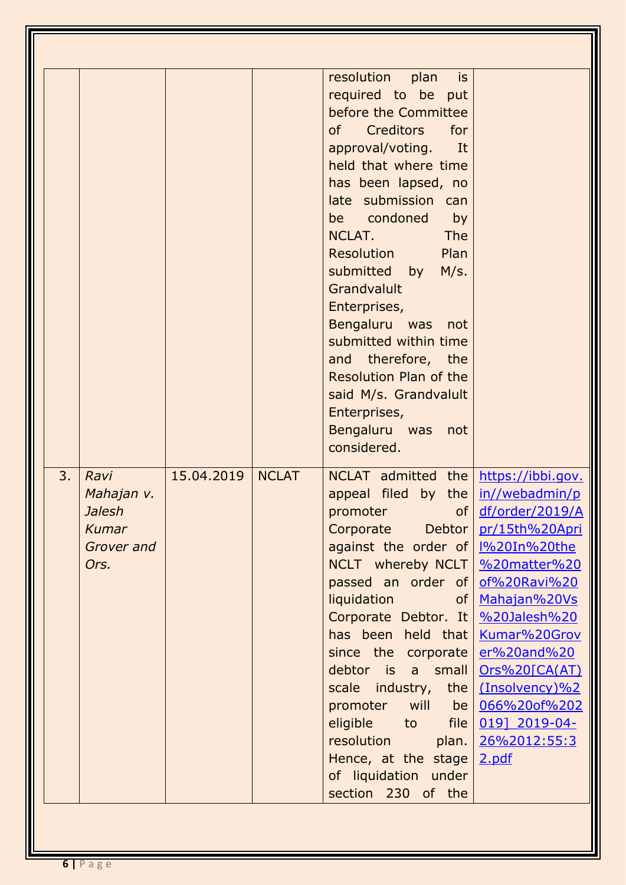|    |               |            |              | resolution<br>plan<br>is is    |                     |
|----|---------------|------------|--------------|--------------------------------|---------------------|
|    |               |            |              |                                |                     |
|    |               |            |              | required to be put             |                     |
|    |               |            |              | before the Committee           |                     |
|    |               |            |              | of<br><b>Creditors</b><br>for  |                     |
|    |               |            |              | approval/voting. It            |                     |
|    |               |            |              | held that where time           |                     |
|    |               |            |              | has been lapsed, no            |                     |
|    |               |            |              | late submission can            |                     |
|    |               |            |              | be condoned<br>by              |                     |
|    |               |            |              | NCLAT.<br><b>The</b>           |                     |
|    |               |            |              | <b>Resolution</b><br>Plan      |                     |
|    |               |            |              | submitted<br>M/s.<br>by        |                     |
|    |               |            |              | Grandvalult                    |                     |
|    |               |            |              | Enterprises,                   |                     |
|    |               |            |              | Bengaluru was<br>not           |                     |
|    |               |            |              | submitted within time          |                     |
|    |               |            |              | and therefore, the             |                     |
|    |               |            |              | <b>Resolution Plan of the</b>  |                     |
|    |               |            |              | said M/s. Grandvalult          |                     |
|    |               |            |              | Enterprises,                   |                     |
|    |               |            |              | Bengaluru was<br>not           |                     |
|    |               |            |              | considered.                    |                     |
| 3. | Ravi          | 15.04.2019 | <b>NCLAT</b> | NCLAT admitted the             | https://ibbi.gov.   |
|    | Mahajan v.    |            |              | appeal filed by the            | in//webadmin/p      |
|    | <b>Jalesh</b> |            |              | promoter<br>of <sub>l</sub>    | df/order/2019/A     |
|    | Kumar         |            |              | Debtor  <br>Corporate          | pr/15th%20Apri      |
|    | Grover and    |            |              | against the order of           | <u>I%20In%20the</u> |
|    | Ors.          |            |              | NCLT whereby NCLT              | %20matter%20        |
|    |               |            |              | passed an order of             | of%20Ravi%20        |
|    |               |            |              | liquidation<br>of <sub>l</sub> | Mahajan%20Vs        |
|    |               |            |              | Corporate Debtor. It           | $%20$ Jalesh $%20$  |
|    |               |            |              | has been held that             | Kumar%20Grov        |
|    |               |            |              | since the corporate            | er%20and%20         |
|    |               |            |              | debtor is a small              | Ors%20[CA(AT)       |
|    |               |            |              | scale industry,<br>the         | (Insolvency)%2      |
|    |               |            |              | promoter<br>will<br>be         | 066%20of%202        |
|    |               |            |              | eligible<br>file<br>to         | 019] 2019-04-       |
|    |               |            |              | resolution<br>plan.            | 26%2012:55:3        |
|    |               |            |              | Hence, at the stage            | 2.pdf               |
|    |               |            |              | of liquidation under           |                     |
|    |               |            |              | section 230 of the             |                     |
|    |               |            |              |                                |                     |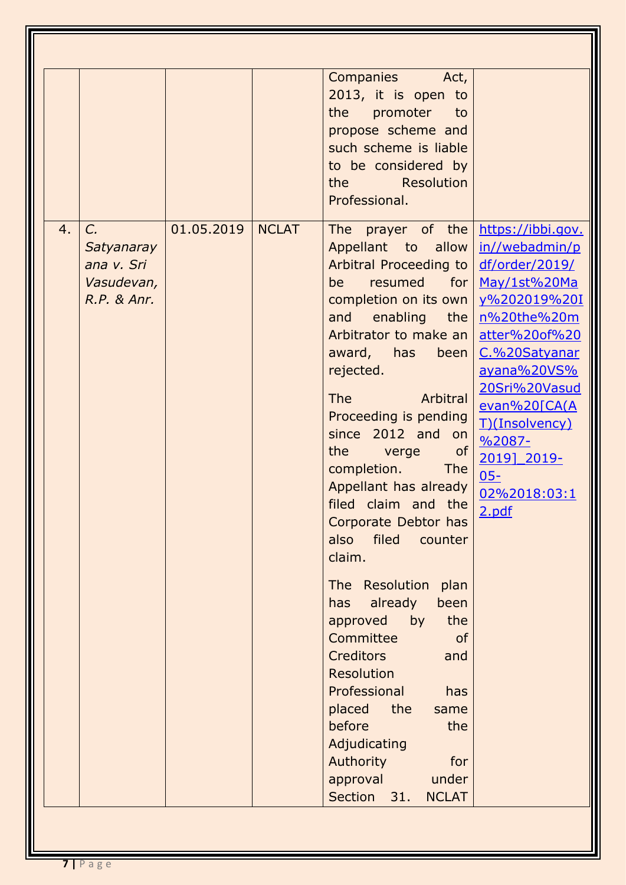|    |                                                                 |            |              | <b>Companies</b><br>Act,<br>2013, it is open to<br>the<br>promoter to<br>propose scheme and<br>such scheme is liable<br>to be considered by<br>the Resolution<br>Professional.                                                                                                                                                                                                                                                                                                                                                                                                                                                                                                                                                                                                                   |                                                                                                                                                                                                                                                               |
|----|-----------------------------------------------------------------|------------|--------------|--------------------------------------------------------------------------------------------------------------------------------------------------------------------------------------------------------------------------------------------------------------------------------------------------------------------------------------------------------------------------------------------------------------------------------------------------------------------------------------------------------------------------------------------------------------------------------------------------------------------------------------------------------------------------------------------------------------------------------------------------------------------------------------------------|---------------------------------------------------------------------------------------------------------------------------------------------------------------------------------------------------------------------------------------------------------------|
| 4. | C.<br>Satyanaray<br>ana v. Sri<br>Vasudevan,<br>$R.P.$ & $Anr.$ | 01.05.2019 | <b>NCLAT</b> | prayer of the https://ibbi.gov.<br>The<br>Appellant to allow<br>Arbitral Proceeding to<br>be<br>completion on its own<br>enabling<br>the $\vert$<br>and<br>Arbitrator to make an<br>award, has<br>been<br>rejected.<br><b>The</b><br>Arbitral<br>Proceeding is pending<br>since 2012 and on<br><b>Example 19 verget of</b><br>the<br>completion.<br><b>The</b><br>Appellant has already<br>filed claim and the<br>Corporate Debtor has<br>filed<br>also<br>counter<br>claim.<br>The Resolution<br>plan<br>already<br>been<br>has<br>approved<br>by<br>the<br>Committee<br><sub>of</sub><br><b>Creditors</b><br>and<br><b>Resolution</b><br>Professional<br>has<br>placed<br>the<br>same<br>before<br>the<br>Adjudicating<br>Authority<br>for<br>under<br>approval<br>Section 31.<br><b>NCLAT</b> | in//webadmin/p<br>df/order/2019/<br>resumed for May/1st%20Ma<br>y%202019%20I<br>n%20the%20m<br>atter%20of%20<br>C.%20Satyanar<br>ayana%20VS%<br>20Sri%20Vasud<br>evan%20[CA(A<br>T)(Insolvency)<br>$%2087-$<br>2019] 2019-<br>$05 -$<br>02%2018:03:1<br>2.pdf |